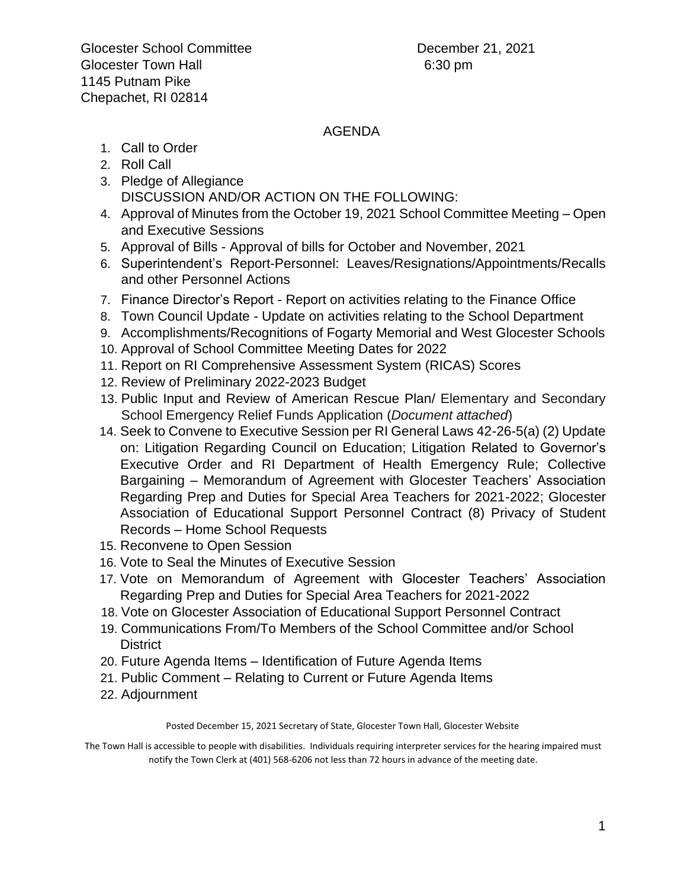## AGENDA

- 1. Call to Order
- 2. Roll Call
- 3. Pledge of Allegiance DISCUSSION AND/OR ACTION ON THE FOLLOWING:
- 4. Approval of Minutes from the October 19, 2021 School Committee Meeting Open and Executive Sessions
- 5. Approval of Bills Approval of bills for October and November, 2021
- 6. Superintendent's Report-Personnel: Leaves/Resignations/Appointments/Recalls and other Personnel Actions
- 7. Finance Director's Report Report on activities relating to the Finance Office
- 8. Town Council Update Update on activities relating to the School Department
- 9. Accomplishments/Recognitions of Fogarty Memorial and West Glocester Schools
- 10. Approval of School Committee Meeting Dates for 2022
- 11. Report on RI Comprehensive Assessment System (RICAS) Scores
- 12. Review of Preliminary 2022-2023 Budget
- 13. Public Input and Review of American Rescue Plan/ Elementary and Secondary School Emergency Relief Funds Application (*Document attached*)
- 14. Seek to Convene to Executive Session per RI General Laws 42-26-5(a) (2) Update on: Litigation Regarding Council on Education; Litigation Related to Governor's Executive Order and RI Department of Health Emergency Rule; Collective Bargaining – Memorandum of Agreement with Glocester Teachers' Association Regarding Prep and Duties for Special Area Teachers for 2021-2022; Glocester Association of Educational Support Personnel Contract (8) Privacy of Student Records – Home School Requests
- 15. Reconvene to Open Session
- 16. Vote to Seal the Minutes of Executive Session
- 17. Vote on Memorandum of Agreement with Glocester Teachers' Association Regarding Prep and Duties for Special Area Teachers for 2021-2022
- 18. Vote on Glocester Association of Educational Support Personnel Contract
- 19. Communications From/To Members of the School Committee and/or School **District**
- 20. Future Agenda Items Identification of Future Agenda Items
- 21. Public Comment Relating to Current or Future Agenda Items
- 22. Adjournment

## Posted December 15, 2021 Secretary of State, Glocester Town Hall, Glocester Website

The Town Hall is accessible to people with disabilities. Individuals requiring interpreter services for the hearing impaired must notify the Town Clerk at (401) 568-6206 not less than 72 hours in advance of the meeting date.